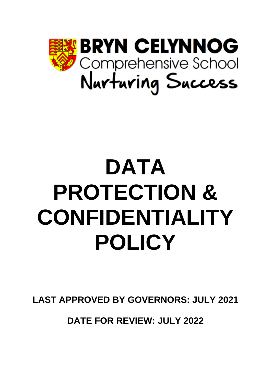

# **DATA PROTECTION & CONFIDENTIALITY POLICY**

**LAST APPROVED BY GOVERNORS: JULY 2021**

**DATE FOR REVIEW: JULY 2022**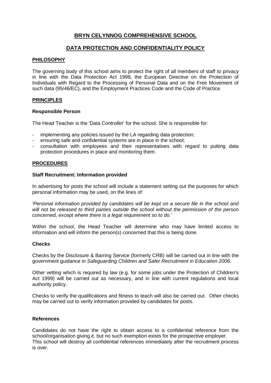# **BRYN CELYNNOG COMPREHENSIVE SCHOOL**

# **DATA PROTECTION AND CONFIDENTIALITY POLICY**

# **PHILOSOPHY**

The governing body of this school aims to protect the right of all members of staff to privacy in line with the Data Protection Act 1998, the European Directive on the Protection of Individuals with Regard to the Processing of Personal Data and on the Free Movement of such data (95/46/EC), and the Employment Practices Code and the Code of Practice.

#### **PRINCIPLES**

#### **Responsible Person**

The Head Teacher is the 'Data Controller' for the school. She is responsible for:

- implementing any policies issued by the LA regarding data protection;
- ensuring safe and confidential systems are in place in the school;
- consultation with employees and their representatives with regard to putting data protection procedures in place and monitoring them.

# **PROCEDURES**

#### **Staff Recruitment: Information provided**

In advertising for posts the school will include a statement setting out the purposes for which personal information may be used, on the lines of:

*'Personal information provided by candidates will be kept on a secure file in the school and will not be released to third parties outside the school without the permission of the person concerned, except where there is a legal requirement so to do.'*

Within the school, the Head Teacher will determine who may have limited access to information and will inform the person(s) concerned that this is being done.

#### **Checks**

Checks by the Disclosure & Barring Service (formerly CRB) will be carried out in line with the government guidance in *Safeguarding Children and Safer Recruitment in Education 2006.*

Other vetting which is required by law (e.g. for some jobs under the Protection of Children's Act 1999) will be carried out as necessary, and in line with current regulations and local authority policy.

Checks to verify the qualifications and fitness to teach will also be carried out. Other checks may be carried out to verify information provided by candidates for posts.

### **References**

Candidates do not have the right to obtain access to a confidential reference from the school/organisation giving it, but no such exemption exists for the prospective employer. This school will destroy all confidential references immediately after the recruitment process is over.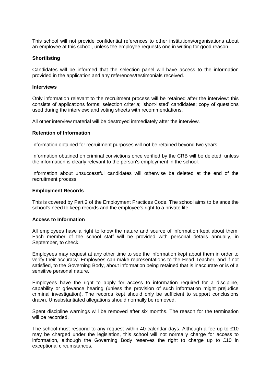This school will not provide confidential references to other institutions/organisations about an employee at this school, unless the employee requests one in writing for good reason.

#### **Shortlisting**

Candidates will be informed that the selection panel will have access to the information provided in the application and any references/testimonials received.

#### **Interviews**

Only information relevant to the recruitment process will be retained after the interview: this consists of applications forms; selection criteria; 'short-listed' candidates; copy of questions used during the interview; and voting sheets with recommendations.

All other interview material will be destroyed immediately after the interview.

#### **Retention of Information**

Information obtained for recruitment purposes will not be retained beyond two years.

Information obtained on criminal convictions once verified by the CRB will be deleted, unless the information is clearly relevant to the person's employment in the school.

Information about unsuccessful candidates will otherwise be deleted at the end of the recruitment process.

#### **Employment Records**

This is covered by Part 2 of the Employment Practices Code. The school aims to balance the school's need to keep records and the employee's right to a private life.

#### **Access to Information**

All employees have a right to know the nature and source of information kept about them. Each member of the school staff will be provided with personal details annually, in September, to check.

Employees may request at any other time to see the information kept about them in order to verify their accuracy. Employees can make representations to the Head Teacher, and if not satisfied, to the Governing Body, about information being retained that is inaccurate or is of a sensitive personal nature.

Employees have the right to apply for access to information required for a discipline, capability or grievance hearing (unless the provision of such information might prejudice criminal investigation). The records kept should only be sufficient to support conclusions drawn. Unsubstantiated allegations should normally be removed.

Spent discipline warnings will be removed after six months. The reason for the termination will be recorded.

The school must respond to any request within 40 calendar days. Although a fee up to £10 may be charged under the legislation, this school will not normally charge for access to information, although the Governing Body reserves the right to charge up to £10 in exceptional circumstances.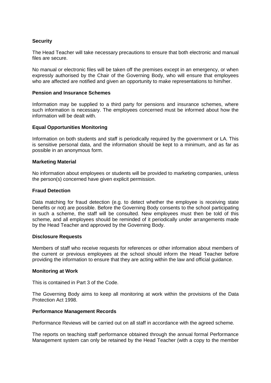# **Security**

The Head Teacher will take necessary precautions to ensure that both electronic and manual files are secure.

No manual or electronic files will be taken off the premises except in an emergency, or when expressly authorised by the Chair of the Governing Body, who will ensure that employees who are affected are notified and given an opportunity to make representations to him/her.

# **Pension and Insurance Schemes**

Information may be supplied to a third party for pensions and insurance schemes, where such information is necessary. The employees concerned must be informed about how the information will be dealt with.

# **Equal Opportunities Monitoring**

Information on both students and staff is periodically required by the government or LA. This is sensitive personal data, and the information should be kept to a minimum, and as far as possible in an anonymous form.

# **Marketing Material**

No information about employees or students will be provided to marketing companies, unless the person(s) concerned have given explicit permission.

### **Fraud Detection**

Data matching for fraud detection (e.g. to detect whether the employee is receiving state benefits or not) are possible. Before the Governing Body consents to the school participating in such a scheme, the staff will be consulted. New employees must then be told of this scheme, and all employees should be reminded of it periodically under arrangements made by the Head Teacher and approved by the Governing Body.

#### **Disclosure Requests**

Members of staff who receive requests for references or other information about members of the current or previous employees at the school should inform the Head Teacher before providing the information to ensure that they are acting within the law and official guidance.

#### **Monitoring at Work**

This is contained in Part 3 of the Code.

The Governing Body aims to keep all monitoring at work within the provisions of the Data Protection Act 1998.

#### **Performance Management Records**

Performance Reviews will be carried out on all staff in accordance with the agreed scheme.

The reports on teaching staff performance obtained through the annual formal Performance Management system can only be retained by the Head Teacher (with a copy to the member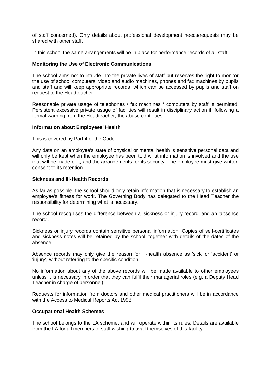of staff concerned). Only details about professional development needs/requests may be shared with other staff.

In this school the same arrangements will be in place for performance records of all staff.

# **Monitoring the Use of Electronic Communications**

The school aims not to intrude into the private lives of staff but reserves the right to monitor the use of school computers, video and audio machines, phones and fax machines by pupils and staff and will keep appropriate records, which can be accessed by pupils and staff on request to the Headteacher.

Reasonable private usage of telephones / fax machines / computers by staff is permitted. Persistent excessive private usage of facilities will result in disciplinary action if, following a formal warning from the Headteacher, the abuse continues.

# **Information about Employees' Health**

This is covered by Part 4 of the Code.

Any data on an employee's state of physical or mental health is sensitive personal data and will only be kept when the employee has been told what information is involved and the use that will be made of it, and the arrangements for its security. The employee must give written consent to its retention.

# **Sickness and Ill-Health Records**

As far as possible, the school should only retain information that is necessary to establish an employee's fitness for work. The Governing Body has delegated to the Head Teacher the responsibility for determining what is necessary.

The school recognises the difference between a 'sickness or injury record' and an 'absence record'.

Sickness or injury records contain sensitive personal information. Copies of self-certificates and sickness notes will be retained by the school, together with details of the dates of the absence.

Absence records may only give the reason for ill-health absence as 'sick' or 'accident' or 'injury', without referring to the specific condition.

No information about any of the above records will be made available to other employees unless it is necessary in order that they can fulfil their managerial roles (e.g. a Deputy Head Teacher in charge of personnel).

Requests for information from doctors and other medical practitioners will be in accordance with the Access to Medical Reports Act 1998.

# **Occupational Health Schemes**

The school belongs to the LA scheme, and will operate within its rules. Details are available from the LA for all members of staff wishing to avail themselves of this facility.